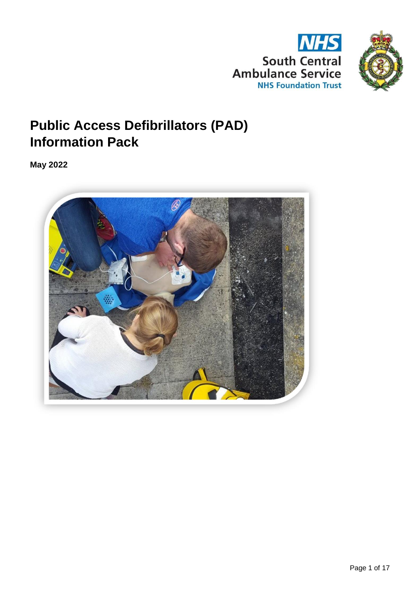



# **Public Access Defibrillators (PAD) Information Pack**

**May 2022**

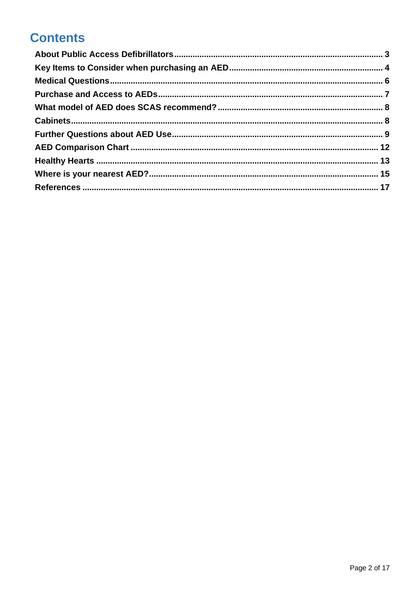# **Contents**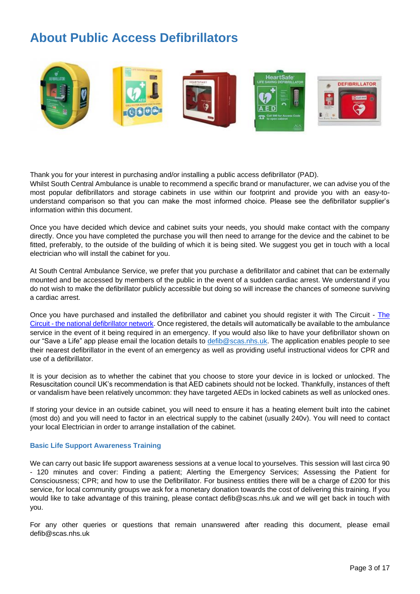# <span id="page-2-0"></span>**About Public Access Defibrillators**



Thank you for your interest in purchasing and/or installing a public access defibrillator (PAD). Whilst South Central Ambulance is unable to recommend a specific brand or manufacturer, we can advise you of the most popular defibrillators and storage cabinets in use within our footprint and provide you with an easy-tounderstand comparison so that you can make the most informed choice. Please see the defibrillator supplier's information within this document.

Once you have decided which device and cabinet suits your needs, you should make contact with the company directly. Once you have completed the purchase you will then need to arrange for the device and the cabinet to be fitted, preferably, to the outside of the building of which it is being sited. We suggest you get in touch with a local electrician who will install the cabinet for you.

At South Central Ambulance Service, we prefer that you purchase a defibrillator and cabinet that can be externally mounted and be accessed by members of the public in the event of a sudden cardiac arrest. We understand if you do not wish to make the defibrillator publicly accessible but doing so will increase the chances of someone surviving a cardiac arrest.

Once you have purchased and installed the defibrillator and cabinet you should register it with The Circuit - [The](https://www.thecircuit.uk/)  Circuit - [the national defibrillator network.](https://www.thecircuit.uk/) Once registered, the details will automatically be available to the ambulance service in the event of it being required in an emergency. If you would also like to have your defibrillator shown on our "Save a Life" app please email the location details to [defib@scas.nhs.uk.](mailto:defib@scas.nhs.uk) The application enables people to see their nearest defibrillator in the event of an emergency as well as providing useful instructional videos for CPR and use of a defibrillator.

It is your decision as to whether the cabinet that you choose to store your device in is locked or unlocked. The Resuscitation council UK's recommendation is that AED cabinets should not be locked. Thankfully, instances of theft or vandalism have been relatively uncommon: they have targeted AEDs in locked cabinets as well as unlocked ones.

If storing your device in an outside cabinet, you will need to ensure it has a heating element built into the cabinet (most do) and you will need to factor in an electrical supply to the cabinet (usually 240v). You will need to contact your local Electrician in order to arrange installation of the cabinet.

## **Basic Life Support Awareness Training**

We can carry out basic life support awareness sessions at a venue local to yourselves. This session will last circa 90 - 120 minutes and cover: Finding a patient; Alerting the Emergency Services; Assessing the Patient for Consciousness; CPR; and how to use the Defibrillator. For business entities there will be a charge of £200 for this service, for local community groups we ask for a monetary donation towards the cost of delivering this training. If you would like to take advantage of this training, please contact defib@scas.nhs.uk and we will get back in touch with you.

For any other queries or questions that remain unanswered after reading this document, please email defib@scas.nhs.uk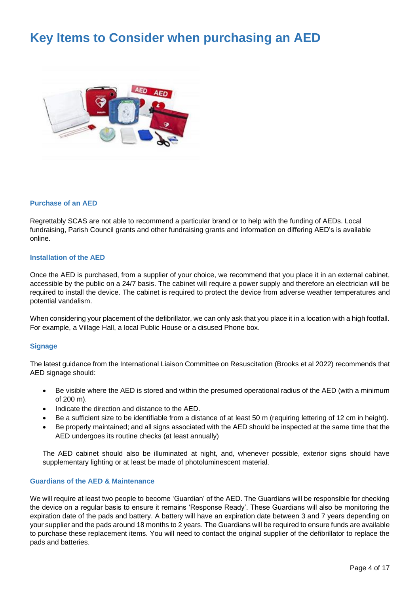# <span id="page-3-0"></span>**Key Items to Consider when purchasing an AED**



#### **Purchase of an AED**

Regrettably SCAS are not able to recommend a particular brand or to help with the funding of AEDs. Local fundraising, Parish Council grants and other fundraising grants and information on differing AED's is available online.

#### **Installation of the AED**

Once the AED is purchased, from a supplier of your choice, we recommend that you place it in an external cabinet, accessible by the public on a 24/7 basis. The cabinet will require a power supply and therefore an electrician will be required to install the device. The cabinet is required to protect the device from adverse weather temperatures and potential vandalism.

When considering your placement of the defibrillator, we can only ask that you place it in a location with a high footfall. For example, a Village Hall, a local Public House or a disused Phone box.

## **Signage**

The latest guidance from the International Liaison Committee on Resuscitation (Brooks et al 2022) recommends that AED signage should:

- Be visible where the AED is stored and within the presumed operational radius of the AED (with a minimum of 200 m).
- Indicate the direction and distance to the AED.
- Be a sufficient size to be identifiable from a distance of at least 50 m (requiring lettering of 12 cm in height).
- Be properly maintained; and all signs associated with the AED should be inspected at the same time that the AED undergoes its routine checks (at least annually)

The AED cabinet should also be illuminated at night, and, whenever possible, exterior signs should have supplementary lighting or at least be made of photoluminescent material.

#### **Guardians of the AED & Maintenance**

We will require at least two people to become 'Guardian' of the AED. The Guardians will be responsible for checking the device on a regular basis to ensure it remains 'Response Ready'. These Guardians will also be monitoring the expiration date of the pads and battery. A battery will have an expiration date between 3 and 7 years depending on your supplier and the pads around 18 months to 2 years. The Guardians will be required to ensure funds are available to purchase these replacement items. You will need to contact the original supplier of the defibrillator to replace the pads and batteries.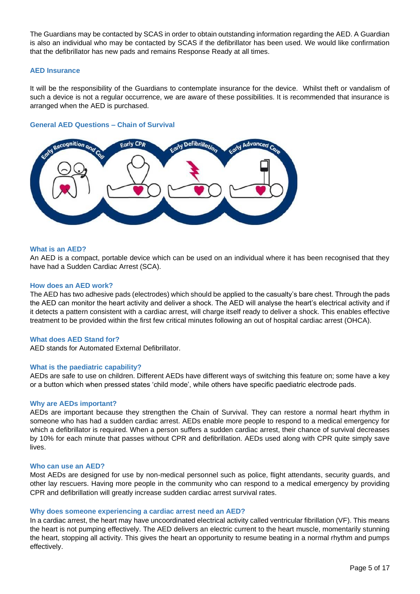The Guardians may be contacted by SCAS in order to obtain outstanding information regarding the AED. A Guardian is also an individual who may be contacted by SCAS if the defibrillator has been used. We would like confirmation that the defibrillator has new pads and remains Response Ready at all times.

## **AED Insurance**

It will be the responsibility of the Guardians to contemplate insurance for the device. Whilst theft or vandalism of such a device is not a regular occurrence, we are aware of these possibilities. It is recommended that insurance is arranged when the AED is purchased.

## **General AED Questions – Chain of Survival**



## **What is an AED?**

An AED is a compact, portable device which can be used on an individual where it has been recognised that they have had a Sudden Cardiac Arrest (SCA).

## **How does an AED work?**

The AED has two adhesive pads (electrodes) which should be applied to the casualty's bare chest. Through the pads the AED can monitor the heart activity and deliver a shock. The AED will analyse the heart's electrical activity and if it detects a pattern consistent with a cardiac arrest, will charge itself ready to deliver a shock. This enables effective treatment to be provided within the first few critical minutes following an out of hospital cardiac arrest (OHCA).

## **What does AED Stand for?**

AED stands for Automated External Defibrillator.

## **What is the paediatric capability?**

AEDs are safe to use on children. Different AEDs have different ways of switching this feature on; some have a key or a button which when pressed states 'child mode', while others have specific paediatric electrode pads.

## **Why are AEDs important?**

AEDs are important because they strengthen the Chain of Survival. They can restore a normal heart rhythm in someone who has had a sudden cardiac arrest. AEDs enable more people to respond to a medical emergency for which a defibrillator is required. When a person suffers a sudden cardiac arrest, their chance of survival decreases by 10% for each minute that passes without CPR and defibrillation. AEDs used along with CPR quite simply save lives.

## **Who can use an AED?**

Most AEDs are designed for use by non-medical personnel such as police, flight attendants, security guards, and other lay rescuers. Having more people in the community who can respond to a medical emergency by providing CPR and defibrillation will greatly increase sudden cardiac arrest survival rates.

## **Why does someone experiencing a cardiac arrest need an AED?**

In a cardiac arrest, the heart may have uncoordinated electrical activity called ventricular fibrillation (VF). This means the heart is not pumping effectively. The AED delivers an electric current to the heart muscle, momentarily stunning the heart, stopping all activity. This gives the heart an opportunity to resume beating in a normal rhythm and pumps effectively.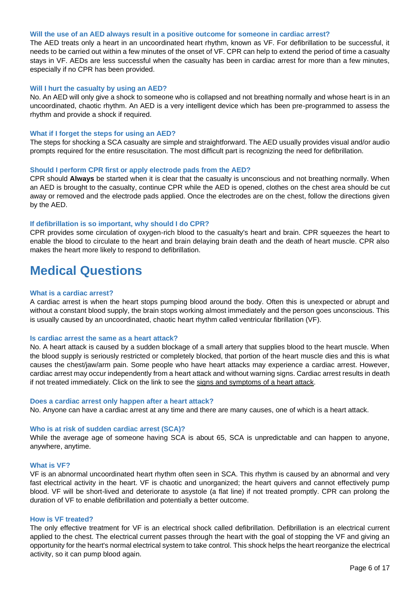#### **Will the use of an AED always result in a positive outcome for someone in cardiac arrest?**

The AED treats only a heart in an uncoordinated heart rhythm, known as VF. For defibrillation to be successful, it needs to be carried out within a few minutes of the onset of VF. CPR can help to extend the period of time a casualty stays in VF. AEDs are less successful when the casualty has been in cardiac arrest for more than a few minutes, especially if no CPR has been provided.

#### **Will I hurt the casualty by using an AED?**

No. An AED will only give a shock to someone who is collapsed and not breathing normally and whose heart is in an uncoordinated, chaotic rhythm. An AED is a very intelligent device which has been pre-programmed to assess the rhythm and provide a shock if required.

#### **What if I forget the steps for using an AED?**

The steps for shocking a SCA casualty are simple and straightforward. The AED usually provides visual and/or audio prompts required for the entire resuscitation. The most difficult part is recognizing the need for defibrillation.

#### **Should I perform CPR first or apply electrode pads from the AED?**

CPR should **Always** be started when it is clear that the casualty is unconscious and not breathing normally. When an AED is brought to the casualty, continue CPR while the AED is opened, clothes on the chest area should be cut away or removed and the electrode pads applied. Once the electrodes are on the chest, follow the directions given by the AED.

#### **If defibrillation is so important, why should I do CPR?**

CPR provides some circulation of oxygen-rich blood to the casualty's heart and brain. CPR squeezes the heart to enable the blood to circulate to the heart and brain delaying brain death and the death of heart muscle. CPR also makes the heart more likely to respond to defibrillation.

## <span id="page-5-0"></span>**Medical Questions**

#### **What is a cardiac arrest?**

A cardiac arrest is when the heart stops pumping blood around the body. Often this is unexpected or abrupt and without a constant blood supply, the brain stops working almost immediately and the person goes unconscious. This is usually caused by an uncoordinated, chaotic heart rhythm called ventricular fibrillation (VF).

#### **Is cardiac arrest the same as a heart attack?**

No. A heart attack is caused by a sudden blockage of a small artery that supplies blood to the heart muscle. When the blood supply is seriously restricted or completely blocked, that portion of the heart muscle dies and this is what causes the chest/jaw/arm pain. Some people who have heart attacks may experience a cardiac arrest. However, cardiac arrest may occur independently from a heart attack and without warning signs. Cardiac arrest results in death if not treated immediately. Click on the link to see the signs and symptoms of a heart attack.

#### **Does a cardiac arrest only happen after a heart attack?**

No. Anyone can have a cardiac arrest at any time and there are many causes, one of which is a heart attack.

#### **Who is at risk of sudden cardiac arrest (SCA)?**

While the average age of someone having SCA is about 65, SCA is unpredictable and can happen to anyone, anywhere, anytime.

#### **What is VF?**

VF is an abnormal uncoordinated heart rhythm often seen in SCA. This rhythm is caused by an abnormal and very fast electrical activity in the heart. VF is chaotic and unorganized; the heart quivers and cannot effectively pump blood. VF will be short-lived and deteriorate to asystole (a flat line) if not treated promptly. CPR can prolong the duration of VF to enable defibrillation and potentially a better outcome.

#### **How is VF treated?**

The only effective treatment for VF is an electrical shock called defibrillation. Defibrillation is an electrical current applied to the chest. The electrical current passes through the heart with the goal of stopping the VF and giving an opportunity for the heart's normal electrical system to take control. This shock helps the heart reorganize the electrical activity, so it can pump blood again.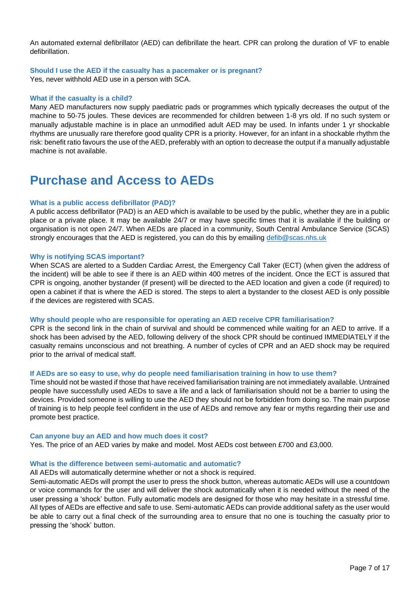An automated external defibrillator (AED) can defibrillate the heart. CPR can prolong the duration of VF to enable defibrillation.

## **Should I use the AED if the casualty has a pacemaker or is pregnant?**

Yes, never withhold AED use in a person with SCA.

## **What if the casualty is a child?**

Many AED manufacturers now supply paediatric pads or programmes which typically decreases the output of the machine to 50-75 joules. These devices are recommended for children between 1-8 yrs old. If no such system or manually adjustable machine is in place an unmodified adult AED may be used. In infants under 1 yr shockable rhythms are unusually rare therefore good quality CPR is a priority. However, for an infant in a shockable rhythm the risk: benefit ratio favours the use of the AED, preferably with an option to decrease the output if a manually adjustable machine is not available.

## <span id="page-6-0"></span>**Purchase and Access to AEDs**

## **What is a public access defibrillator (PAD)?**

A public access defibrillator (PAD) is an AED which is available to be used by the public, whether they are in a public place or a private place. It may be available 24/7 or may have specific times that it is available if the building or organisation is not open 24/7. When AEDs are placed in a community, South Central Ambulance Service (SCAS) strongly encourages that the AED is registered, you can do this by emailing [defib@scas.nhs.uk](mailto:defib@scas.nhs.uk)

## **Why is notifying SCAS important?**

When SCAS are alerted to a Sudden Cardiac Arrest, the Emergency Call Taker (ECT) (when given the address of the incident) will be able to see if there is an AED within 400 metres of the incident. Once the ECT is assured that CPR is ongoing, another bystander (if present) will be directed to the AED location and given a code (if required) to open a cabinet if that is where the AED is stored. The steps to alert a bystander to the closest AED is only possible if the devices are registered with SCAS.

## **Why should people who are responsible for operating an AED receive CPR familiarisation?**

CPR is the second link in the chain of survival and should be commenced while waiting for an AED to arrive. If a shock has been advised by the AED, following delivery of the shock CPR should be continued IMMEDIATELY if the casualty remains unconscious and not breathing. A number of cycles of CPR and an AED shock may be required prior to the arrival of medical staff.

## **If AEDs are so easy to use, why do people need familiarisation training in how to use them?**

Time should not be wasted if those that have received familiarisation training are not immediately available. Untrained people have successfully used AEDs to save a life and a lack of familiarisation should not be a barrier to using the devices. Provided someone is willing to use the AED they should not be forbidden from doing so. The main purpose of training is to help people feel confident in the use of AEDs and remove any fear or myths regarding their use and promote best practice.

## **Can anyone buy an AED and how much does it cost?**

Yes. The price of an AED varies by make and model. Most AEDs cost between £700 and £3,000.

## **What is the difference between semi-automatic and automatic?**

All AEDs will automatically determine whether or not a shock is required.

Semi-automatic AEDs will prompt the user to press the shock button, whereas automatic AEDs will use a countdown or voice commands for the user and will deliver the shock automatically when it is needed without the need of the user pressing a 'shock' button. Fully automatic models are designed for those who may hesitate in a stressful time. All types of AEDs are effective and safe to use. Semi-automatic AEDs can provide additional safety as the user would be able to carry out a final check of the surrounding area to ensure that no one is touching the casualty prior to pressing the 'shock' button.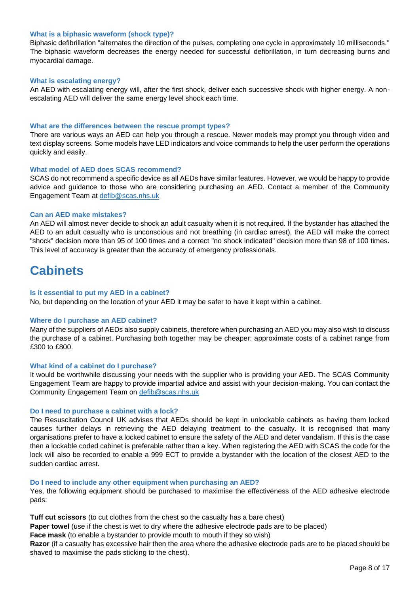## **What is a biphasic waveform (shock type)?**

Biphasic defibrillation "alternates the direction of the pulses, completing one cycle in approximately 10 milliseconds." The biphasic waveform decreases the energy needed for successful defibrillation, in turn decreasing burns and myocardial damage.

## **What is escalating energy?**

An AED with escalating energy will, after the first shock, deliver each successive shock with higher energy. A nonescalating AED will deliver the same energy level shock each time.

#### **What are the differences between the rescue prompt types?**

There are various ways an AED can help you through a rescue. Newer models may prompt you through video and text display screens. Some models have LED indicators and voice commands to help the user perform the operations quickly and easily.

#### <span id="page-7-0"></span>**What model of AED does SCAS recommend?**

SCAS do not recommend a specific device as all AEDs have similar features. However, we would be happy to provide advice and guidance to those who are considering purchasing an AED. Contact a member of the Community Engagement Team at [defib@scas.nhs.uk](mailto:defib@scas.nhs.uk)

## **Can an AED make mistakes?**

An AED will almost never decide to shock an adult casualty when it is not required. If the bystander has attached the AED to an adult casualty who is unconscious and not breathing (in cardiac arrest), the AED will make the correct "shock" decision more than 95 of 100 times and a correct "no shock indicated" decision more than 98 of 100 times. This level of accuracy is greater than the accuracy of emergency professionals.

## <span id="page-7-1"></span>**Cabinets**

#### **Is it essential to put my AED in a cabinet?**

No, but depending on the location of your AED it may be safer to have it kept within a cabinet.

#### **Where do I purchase an AED cabinet?**

Many of the suppliers of AEDs also supply cabinets, therefore when purchasing an AED you may also wish to discuss the purchase of a cabinet. Purchasing both together may be cheaper: approximate costs of a cabinet range from £300 to £800.

#### **What kind of a cabinet do I purchase?**

It would be worthwhile discussing your needs with the supplier who is providing your AED. The SCAS Community Engagement Team are happy to provide impartial advice and assist with your decision-making. You can contact the Community Engagement Team on [defib@scas.nhs.uk](mailto:defib@scas.nhs.uk)

#### **Do I need to purchase a cabinet with a lock?**

The Resuscitation Council UK advises that AEDs should be kept in unlockable cabinets as having them locked causes further delays in retrieving the AED delaying treatment to the casualty. It is recognised that many organisations prefer to have a locked cabinet to ensure the safety of the AED and deter vandalism. If this is the case then a lockable coded cabinet is preferable rather than a key. When registering the AED with SCAS the code for the lock will also be recorded to enable a 999 ECT to provide a bystander with the location of the closest AED to the sudden cardiac arrest.

#### **Do I need to include any other equipment when purchasing an AED?**

Yes, the following equipment should be purchased to maximise the effectiveness of the AED adhesive electrode pads:

**Tuff cut scissors** (to cut clothes from the chest so the casualty has a bare chest)

**Paper towel** (use if the chest is wet to dry where the adhesive electrode pads are to be placed)

**Face mask** (to enable a bystander to provide mouth to mouth if they so wish)

**Razor** (if a casualty has excessive hair then the area where the adhesive electrode pads are to be placed should be shaved to maximise the pads sticking to the chest).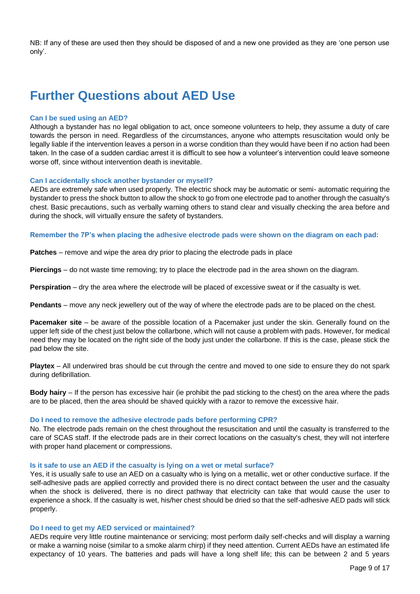NB: If any of these are used then they should be disposed of and a new one provided as they are 'one person use only'.

# <span id="page-8-0"></span>**Further Questions about AED Use**

#### **Can I be sued using an AED?**

Although a bystander has no legal obligation to act, once someone volunteers to help, they assume a duty of care towards the person in need. Regardless of the circumstances, anyone who attempts resuscitation would only be legally liable if the intervention leaves a person in a worse condition than they would have been if no action had been taken. In the case of a sudden cardiac arrest it is difficult to see how a volunteer's intervention could leave someone worse off, since without intervention death is inevitable.

#### **Can I accidentally shock another bystander or myself?**

AEDs are extremely safe when used properly. The electric shock may be automatic or semi- automatic requiring the bystander to press the shock button to allow the shock to go from one electrode pad to another through the casualty's chest. Basic precautions, such as verbally warning others to stand clear and visually checking the area before and during the shock, will virtually ensure the safety of bystanders.

**Remember the 7P's when placing the adhesive electrode pads were shown on the diagram on each pad:**

**Patches** – remove and wipe the area dry prior to placing the electrode pads in place

**Piercings** – do not waste time removing; try to place the electrode pad in the area shown on the diagram.

**Perspiration** – dry the area where the electrode will be placed of excessive sweat or if the casualty is wet.

**Pendants** – move any neck jewellery out of the way of where the electrode pads are to be placed on the chest.

**Pacemaker site** – be aware of the possible location of a Pacemaker just under the skin. Generally found on the upper left side of the chest just below the collarbone, which will not cause a problem with pads. However, for medical need they may be located on the right side of the body just under the collarbone. If this is the case, please stick the pad below the site.

**Playtex** – All underwired bras should be cut through the centre and moved to one side to ensure they do not spark during defibrillation.

**Body hairy** – If the person has excessive hair (ie prohibit the pad sticking to the chest) on the area where the pads are to be placed, then the area should be shaved quickly with a razor to remove the excessive hair.

## **Do I need to remove the adhesive electrode pads before performing CPR?**

No. The electrode pads remain on the chest throughout the resuscitation and until the casualty is transferred to the care of SCAS staff. If the electrode pads are in their correct locations on the casualty's chest, they will not interfere with proper hand placement or compressions.

#### **Is it safe to use an AED if the casualty is lying on a wet or metal surface?**

Yes, it is usually safe to use an AED on a casualty who is lying on a metallic, wet or other conductive surface. If the self-adhesive pads are applied correctly and provided there is no direct contact between the user and the casualty when the shock is delivered, there is no direct pathway that electricity can take that would cause the user to experience a shock. If the casualty is wet, his/her chest should be dried so that the self-adhesive AED pads will stick properly.

## **Do I need to get my AED serviced or maintained?**

AEDs require very little routine maintenance or servicing; most perform daily self-checks and will display a warning or make a warning noise (similar to a smoke alarm chirp) if they need attention. Current AEDs have an estimated life expectancy of 10 years. The batteries and pads will have a long shelf life; this can be between 2 and 5 years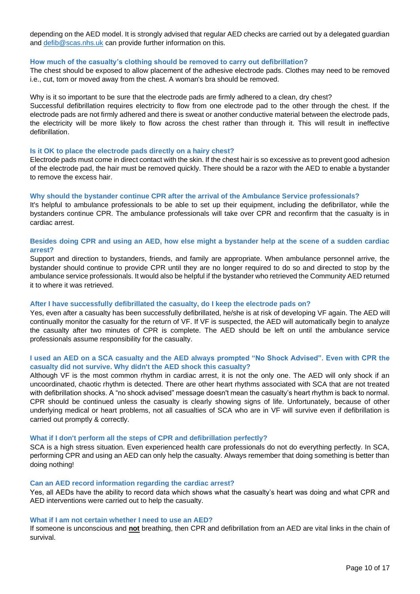depending on the AED model. It is strongly advised that regular AED checks are carried out by a delegated guardian and [defib@scas.nhs.uk](mailto:defib@scas.nhs.uk) can provide further information on this.

#### **How much of the casualty's clothing should be removed to carry out defibrillation?**

The chest should be exposed to allow placement of the adhesive electrode pads. Clothes may need to be removed i.e., cut, torn or moved away from the chest. A woman's bra should be removed.

#### Why is it so important to be sure that the electrode pads are firmly adhered to a clean, dry chest?

Successful defibrillation requires electricity to flow from one electrode pad to the other through the chest. If the electrode pads are not firmly adhered and there is sweat or another conductive material between the electrode pads, the electricity will be more likely to flow across the chest rather than through it. This will result in ineffective defibrillation.

#### **Is it OK to place the electrode pads directly on a hairy chest?**

Electrode pads must come in direct contact with the skin. If the chest hair is so excessive as to prevent good adhesion of the electrode pad, the hair must be removed quickly. There should be a razor with the AED to enable a bystander to remove the excess hair.

#### **Why should the bystander continue CPR after the arrival of the Ambulance Service professionals?**

It's helpful to ambulance professionals to be able to set up their equipment, including the defibrillator, while the bystanders continue CPR. The ambulance professionals will take over CPR and reconfirm that the casualty is in cardiac arrest.

## **Besides doing CPR and using an AED, how else might a bystander help at the scene of a sudden cardiac arrest?**

Support and direction to bystanders, friends, and family are appropriate. When ambulance personnel arrive, the bystander should continue to provide CPR until they are no longer required to do so and directed to stop by the ambulance service professionals. It would also be helpful if the bystander who retrieved the Community AED returned it to where it was retrieved.

## **After I have successfully defibrillated the casualty, do I keep the electrode pads on?**

Yes, even after a casualty has been successfully defibrillated, he/she is at risk of developing VF again. The AED will continually monitor the casualty for the return of VF. If VF is suspected, the AED will automatically begin to analyze the casualty after two minutes of CPR is complete. The AED should be left on until the ambulance service professionals assume responsibility for the casualty.

## **I used an AED on a SCA casualty and the AED always prompted "No Shock Advised". Even with CPR the casualty did not survive. Why didn't the AED shock this casualty?**

Although VF is the most common rhythm in cardiac arrest, it is not the only one. The AED will only shock if an uncoordinated, chaotic rhythm is detected. There are other heart rhythms associated with SCA that are not treated with defibrillation shocks. A "no shock advised" message doesn't mean the casualty's heart rhythm is back to normal. CPR should be continued unless the casualty is clearly showing signs of life. Unfortunately, because of other underlying medical or heart problems, not all casualties of SCA who are in VF will survive even if defibrillation is carried out promptly & correctly.

#### **What if I don't perform all the steps of CPR and defibrillation perfectly?**

SCA is a high stress situation. Even experienced health care professionals do not do everything perfectly. In SCA, performing CPR and using an AED can only help the casualty. Always remember that doing something is better than doing nothing!

## **Can an AED record information regarding the cardiac arrest?**

Yes, all AEDs have the ability to record data which shows what the casualty's heart was doing and what CPR and AED interventions were carried out to help the casualty.

## **What if I am not certain whether I need to use an AED?**

If someone is unconscious and **not** breathing, then CPR and defibrillation from an AED are vital links in the chain of survival.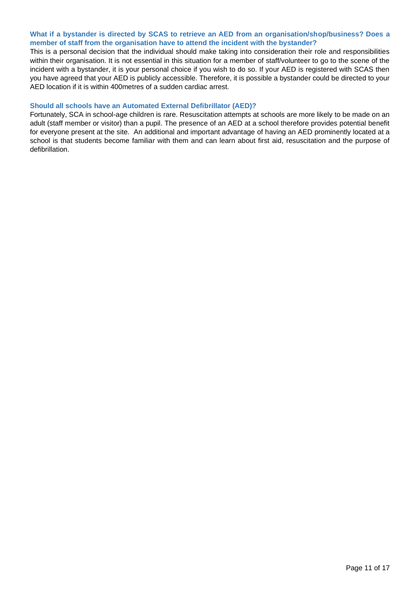## **What if a bystander is directed by SCAS to retrieve an AED from an organisation/shop/business? Does a member of staff from the organisation have to attend the incident with the bystander?**

This is a personal decision that the individual should make taking into consideration their role and responsibilities within their organisation. It is not essential in this situation for a member of staff/volunteer to go to the scene of the incident with a bystander, it is your personal choice if you wish to do so. If your AED is registered with SCAS then you have agreed that your AED is publicly accessible. Therefore, it is possible a bystander could be directed to your AED location if it is within 400metres of a sudden cardiac arrest.

## **Should all schools have an Automated External Defibrillator (AED)?**

Fortunately, SCA in school-age children is rare. Resuscitation attempts at schools are more likely to be made on an adult (staff member or visitor) than a pupil. The presence of an AED at a school therefore provides potential benefit for everyone present at the site. An additional and important advantage of having an AED prominently located at a school is that students become familiar with them and can learn about first aid, resuscitation and the purpose of defibrillation.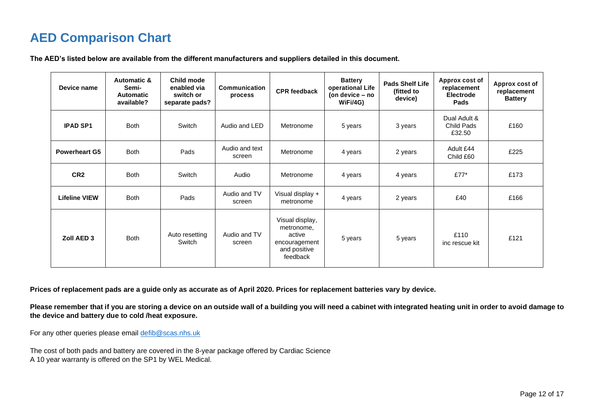# **AED Comparison Chart**

| Device name          | <b>Automatic &amp;</b><br>Semi-<br><b>Automatic</b><br>available? | Child mode<br>enabled via<br>switch or<br>separate pads? | Communication<br>process | <b>CPR</b> feedback                                                                  | <b>Battery</b><br>operational Life<br>(on device – no<br>WiFi/4G) | <b>Pads Shelf Life</b><br>(fitted to<br>device) | Approx cost of<br>replacement<br><b>Electrode</b><br>Pads | Approx cost of<br>replacement<br><b>Battery</b> |
|----------------------|-------------------------------------------------------------------|----------------------------------------------------------|--------------------------|--------------------------------------------------------------------------------------|-------------------------------------------------------------------|-------------------------------------------------|-----------------------------------------------------------|-------------------------------------------------|
| <b>IPAD SP1</b>      | <b>Both</b>                                                       | Switch                                                   | Audio and LED            | Metronome                                                                            | 5 years                                                           | 3 years                                         | Dual Adult &<br>Child Pads<br>£32.50                      | £160                                            |
| <b>Powerheart G5</b> | <b>Both</b>                                                       | Pads                                                     | Audio and text<br>screen | Metronome                                                                            | 4 years                                                           | 2 years                                         | Adult £44<br>Child £60                                    | £225                                            |
| CR <sub>2</sub>      | <b>Both</b>                                                       | Switch                                                   | Audio                    | Metronome                                                                            | 4 years                                                           | 4 years                                         | £77 $*$                                                   | £173                                            |
| <b>Lifeline VIEW</b> | <b>Both</b>                                                       | Pads                                                     | Audio and TV<br>screen   | Visual display +<br>metronome                                                        | 4 years                                                           | 2 years                                         | £40                                                       | £166                                            |
| Zoll AED 3           | <b>Both</b>                                                       | Auto resetting<br>Switch                                 | Audio and TV<br>screen   | Visual display,<br>metronome.<br>active<br>encouragement<br>and positive<br>feedback | 5 years                                                           | 5 years                                         | £110<br>inc rescue kit                                    | £121                                            |

<span id="page-11-0"></span>**Prices of replacement pads are a guide only as accurate as of April 2020. Prices for replacement batteries vary by device.**

**Please remember that if you are storing a device on an outside wall of a building you will need a cabinet with integrated heating unit in order to avoid damage to the device and battery due to cold /heat exposure.**

For any other queries please email [defib@scas.nhs.uk](mailto:defib@scas.nhs.uk)

The cost of both pads and battery are covered in the 8-year package offered by Cardiac Science A 10 year warranty is offered on the SP1 by WEL Medical.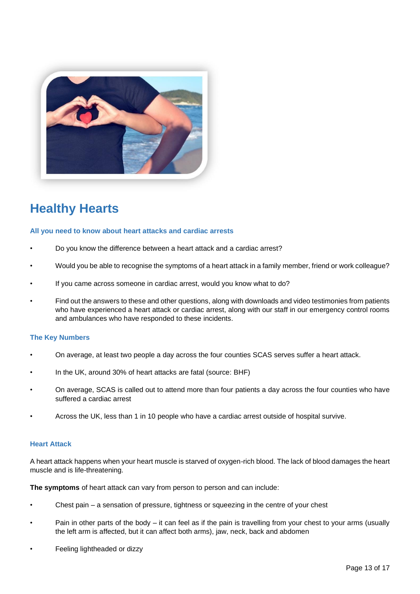

# <span id="page-12-0"></span>**Healthy Hearts**

## **All you need to know about heart attacks and cardiac arrests**

- Do you know the difference between a heart attack and a cardiac arrest?
- Would you be able to recognise the symptoms of a heart attack in a family member, friend or work colleague?
- If you came across someone in cardiac arrest, would you know what to do?
- Find out the answers to these and other questions, along with downloads and video testimonies from patients who have experienced a heart attack or cardiac arrest, along with our staff in our emergency control rooms and ambulances who have responded to these incidents.

## **The Key Numbers**

- On average, at least two people a day across the four counties SCAS serves suffer a heart attack.
- In the UK, around 30% of heart attacks are fatal (source: BHF)
- On average, SCAS is called out to attend more than four patients a day across the four counties who have suffered a cardiac arrest
- Across the UK, less than 1 in 10 people who have a cardiac arrest outside of hospital survive.

## **Heart Attack**

A heart attack happens when your heart muscle is starved of oxygen-rich blood. The lack of blood damages the heart muscle and is life-threatening.

**The symptoms** of heart attack can vary from person to person and can include:

- Chest pain a sensation of pressure, tightness or squeezing in the centre of your chest
- Pain in other parts of the body it can feel as if the pain is travelling from your chest to your arms (usually the left arm is affected, but it can affect both arms), jaw, neck, back and abdomen
- Feeling lightheaded or dizzy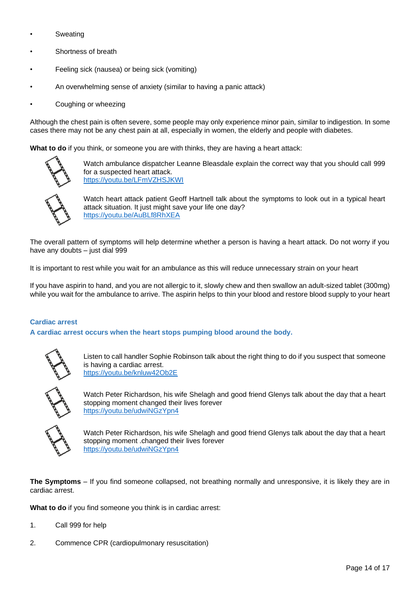- **Sweating**
- Shortness of breath
- Feeling sick (nausea) or being sick (vomiting)
- An overwhelming sense of anxiety (similar to having a panic attack)
- Coughing or wheezing

Although the chest pain is often severe, some people may only experience minor pain, similar to indigestion. In some cases there may not be any chest pain at all, especially in women, the elderly and people with diabetes.

**What to do** if you think, or someone you are with thinks, they are having a heart attack:



Watch ambulance dispatcher Leanne Bleasdale explain the correct way that you should call 999 for a suspected heart attack. <https://youtu.be/LFmVZHSJKWI>



Watch heart attack patient Geoff Hartnell talk about the symptoms to look out in a typical heart attack situation. It just might save your life one day? <https://youtu.be/AuBLf8RhXEA>

The overall pattern of symptoms will help determine whether a person is having a heart attack. Do not worry if you have any doubts – just dial 999

It is important to rest while you wait for an ambulance as this will reduce unnecessary strain on your heart

If you have aspirin to hand, and you are not allergic to it, slowly chew and then swallow an adult-sized tablet (300mg) while you wait for the ambulance to arrive. The aspirin helps to thin your blood and restore blood supply to your heart

## **Cardiac arrest**

**A cardiac arrest occurs when the heart stops pumping blood around the body.**



Listen to call handler Sophie Robinson talk about the right thing to do if you suspect that someone is having a cardiac arrest. <https://youtu.be/knluw42Ob2E>



Watch Peter Richardson, his wife Shelagh and good friend Glenys talk about the day that a heart stopping moment changed their lives forever <https://youtu.be/udwiNGzYpn4>



Watch Peter Richardson, his wife Shelagh and good friend Glenys talk about the day that a heart stopping moment .changed their lives forever https://youtu.be/udwiNGzYpn4

**The Symptoms** – If you find someone collapsed, not breathing normally and unresponsive, it is likely they are in cardiac arrest.

**What to do** if you find someone you think is in cardiac arrest:

- 1. Call 999 for help
- 2. Commence CPR (cardiopulmonary resuscitation)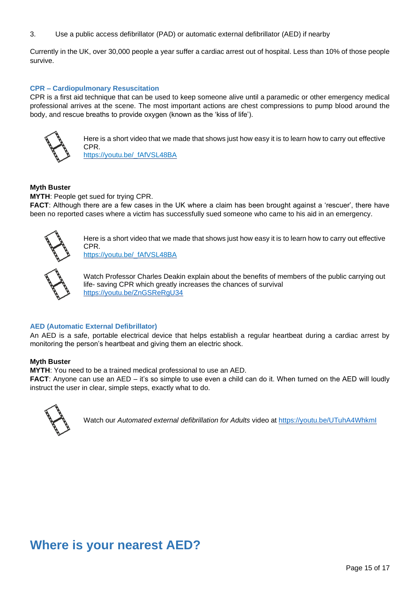3. Use a public access defibrillator (PAD) or automatic external defibrillator (AED) if nearby

Currently in the UK, over 30,000 people a year suffer a cardiac arrest out of hospital. Less than 10% of those people survive.

## **CPR – Cardiopulmonary Resuscitation**

CPR is a first aid technique that can be used to keep someone alive until a paramedic or other emergency medical professional arrives at the scene. The most important actions are chest compressions to pump blood around the body, and rescue breaths to provide oxygen (known as the 'kiss of life').



Here is a short video that we made that shows just how easy it is to learn how to carry out effective CPR. https://youtu.be/\_fAfVSL48BA

## **Myth Buster**

**MYTH**: People get sued for trying CPR.

**FACT**: Although there are a few cases in the UK where a claim has been brought against a 'rescuer', there have been no reported cases where a victim has successfully sued someone who came to his aid in an emergency.



Here is a short video that we made that shows just how easy it is to learn how to carry out effective CPR. https://youtu.be/\_fAfVSL48BA



Watch Professor Charles Deakin explain about the benefits of members of the public carrying out life- saving CPR which greatly increases the chances of survival <https://youtu.be/ZnGSReRgU34>

## **AED (Automatic External Defibrillator)**

An AED is a safe, portable electrical device that helps establish a regular heartbeat during a cardiac arrest by monitoring the person's heartbeat and giving them an electric shock.

## **Myth Buster**

**MYTH**: You need to be a trained medical professional to use an AED.

**FACT:** Anyone can use an AED – it's so simple to use even a child can do it. When turned on the AED will loudly instruct the user in clear, simple steps, exactly what to do.



Watch our *Automated external defibrillation for Adults* video at <https://youtu.be/UTuhA4WhkmI>

## <span id="page-14-0"></span>**Where is your nearest AED?**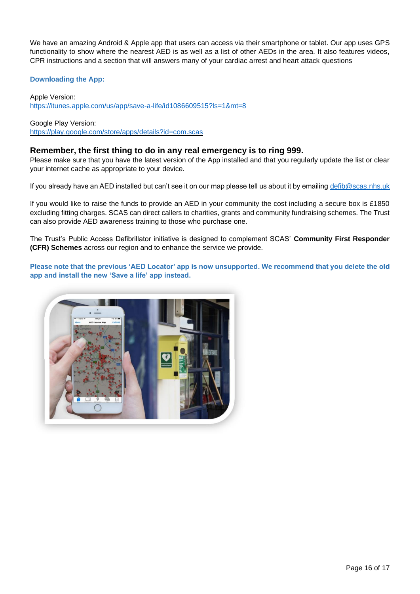We have an amazing Android & Apple app that users can access via their smartphone or tablet. Our app uses GPS functionality to show where the nearest AED is as well as a list of other AEDs in the area. It also features videos, CPR instructions and a section that will answers many of your cardiac arrest and heart attack questions

## **Downloading the App:**

Apple Version: <https://itunes.apple.com/us/app/save-a-life/id1086609515?ls=1&mt=8>

Google Play Version: https://play.google.com/store/apps/details?id=com.scas

## **Remember, the first thing to do in any real emergency is to ring 999.**

Please make sure that you have the latest version of the App installed and that you regularly update the list or clear your internet cache as appropriate to your device.

If you already have an AED installed but can't see it on our map please tell us about it by emailing [defib@scas.nhs.uk](mailto:defib@scas.nhs.uk)

If you would like to raise the funds to provide an AED in your community the cost including a secure box is £1850 excluding fitting charges. SCAS can direct callers to charities, grants and community fundraising schemes. The Trust can also provide AED awareness training to those who purchase one.

The Trust's Public Access Defibrillator initiative is designed to complement SCAS' **Community First Responder (CFR) Schemes** across our region and to enhance the service we provide.

**Please note that the previous 'AED Locator' app is now unsupported. We recommend that you delete the old app and install the new 'Save a life' app instead.**